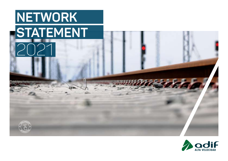## 2021 **STATEMENT NETWORK**

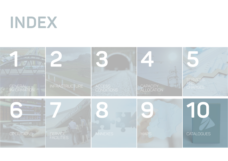

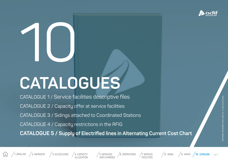

# 10 **CATALOGUES**

CATALOGUE 1 / Service facilities descriptive files CATALOGUE 2 / Capacity offer at service facilities CATALOGUE 3 / Sidings attached to Coordinated Stations CATALOGUE 4 / Capacity restrictions in the RFIG **CATALOGUE 5 / Supply of Electrified lines in Alternating Current Cost Chart**





6. OPERATIONS / 7. SERVICE FACILITIES



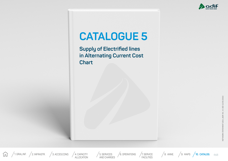

## <span id="page-3-0"></span>**CATALOGUE 5**

**Supply of Electrified lines in Alternating Current Cost Chart**

(ED 12/05/2021)

468



ALLOCATION

5. SERVICES AND CHARGES  $/6.$  OPERATIONS

<sup>/</sup>7. SERVICE<br>FACILITIES

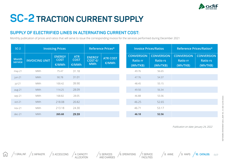

### **SC-2 TRACTION CURRENT SUPPLY**

#### **SUPPLY OF ELECTRIFIED LINES IN ALTERNATING CURRENT COST:**

Monthly publication of prices and ratios that will serve to issue the corresponding invoice for the services performed during December 2021

| $SC-2$                  | <b>Invoicing Prices</b> |                                       |                                    | Reference Prices*                      |                          | <b>Invoice Prices/Ratios</b>                     |                                                  | Reference Prices/Ratios*                         |                                                  |
|-------------------------|-------------------------|---------------------------------------|------------------------------------|----------------------------------------|--------------------------|--------------------------------------------------|--------------------------------------------------|--------------------------------------------------|--------------------------------------------------|
| <b>Month</b><br>service | <b>INVOICING UNIT</b>   | <b>ENERGY</b><br><b>COST</b><br>€/MWh | <b>ATR</b><br><b>COST</b><br>€/MWh | <b>ENERGY</b><br>COST €/<br><b>MWh</b> | <b>ATR COST</b><br>€/MWh | <b>CONVERSION</b><br><b>Ratio rr</b><br>(Wh/TKB) | <b>CONVERSION</b><br><b>Ratio rs</b><br>(Wh/TKB) | <b>CONVERSION</b><br><b>Ratio rr</b><br>(Wh/TKB) | <b>CONVERSION</b><br><b>Ratio rs</b><br>(Wh/TKB) |
| may-21                  | MWh                     | 75.47                                 | 31.18                              |                                        |                          | 49.76                                            | 56.65                                            |                                                  |                                                  |
| jun-21                  | <b>MWh</b>              | 90.78                                 | 31.01                              |                                        |                          | 47.76                                            | 54.37                                            |                                                  |                                                  |
| jul-21                  | MWh                     | 100.42                                | 39.90                              |                                        |                          | 48.45                                            | 55.15                                            |                                                  |                                                  |
| aug-21                  | <b>MWh</b>              | 114.25                                | 28.09                              |                                        |                          | 49.50                                            | 56.34                                            |                                                  |                                                  |
| sep-21                  | <b>MWh</b>              | 168.82                                | 28.05                              |                                        |                          | 46.88                                            | 53.36                                            |                                                  |                                                  |
| oct-21                  | <b>MWh</b>              | 218.08                                | 20.82                              |                                        |                          | 46.25                                            | 52.65                                            |                                                  |                                                  |
| $nov-21$                | <b>MWh</b>              | 213.18                                | 24.30                              |                                        |                          | 46.71                                            | 53.17                                            |                                                  |                                                  |
| $dec-21$                | <b>MWh</b>              | 265.68                                | 29.59                              |                                        |                          | 46.18                                            | 52.56                                            |                                                  |                                                  |

Publication on date: January 24, 2022

仞

5. SERVICES AND CHARGES

4. CAPACITY<br>ALLOCATION

 $/6.$  OPERATIONS FACILITIES

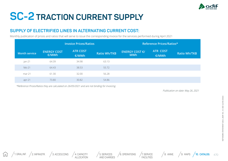

## **SC-2 TRACTION CURRENT SUPPLY**

#### **SUPPLY OF ELECTRIFIED LINES IN ALTERNATING CURRENT COST:**

Monthly publication of prices and ratios that will serve to issue the corresponding invoice for the services performed during April 2021

|                      |                             | <b>Invoice Prices/Ratios</b> |                     | Reference Prices/Ratios*                         |                          |                     |  |
|----------------------|-----------------------------|------------------------------|---------------------|--------------------------------------------------|--------------------------|---------------------|--|
| <b>Month service</b> | <b>ENERGY COST</b><br>€/MWh | <b>ATR COST</b><br>€/MWh     | <b>Ratio Wh/TKB</b> | <b>ENERGY COST <math>E</math>/</b><br><b>MWh</b> | <b>ATR COST</b><br>€/MWh | <b>Ratio Wh/TKB</b> |  |
| jan-21               | 64.39                       | 34.98                        | 63.13               |                                                  |                          |                     |  |
| feb-21               | 64.43                       | 38.53                        | 55.72               |                                                  |                          |                     |  |
| $mar-21$             | 61.30                       | 32.00                        | 56.28               |                                                  |                          |                     |  |
| $apr-21$             | 73.80                       | 30.82                        | 54.86               |                                                  |                          |                     |  |

\*Reference Prices/Ratios they are calculated on 26/05/2021 and are not binding for invoicing.

Publication on date: May 26, 2021

仙



5. SERVICES AND CHARGES  $/6.$  OPERATIONS  $/7.$  SERVICE

FACILITIES